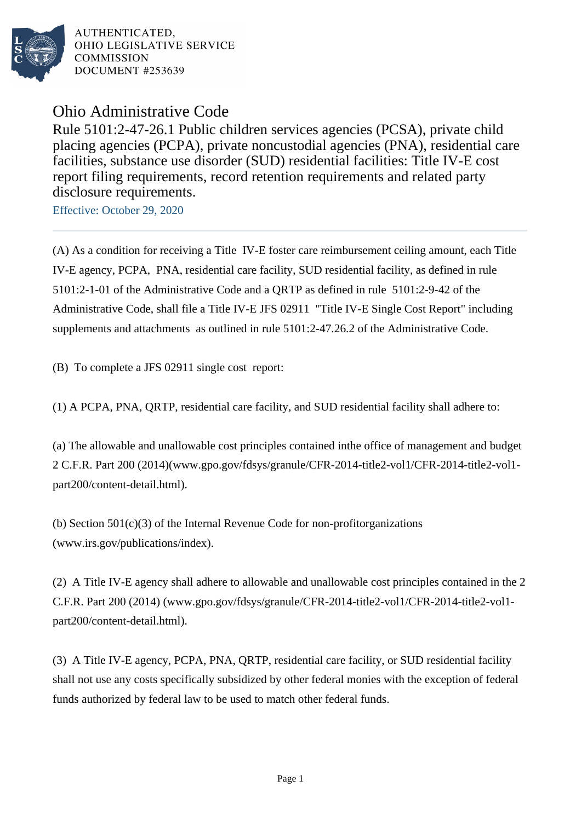

AUTHENTICATED. OHIO LEGISLATIVE SERVICE **COMMISSION** DOCUMENT #253639

## Ohio Administrative Code

Rule 5101:2-47-26.1 Public children services agencies (PCSA), private child placing agencies (PCPA), private noncustodial agencies (PNA), residential care facilities, substance use disorder (SUD) residential facilities: Title IV-E cost report filing requirements, record retention requirements and related party disclosure requirements.

Effective: October 29, 2020

(A) As a condition for receiving a Title IV-E foster care reimbursement ceiling amount, each Title IV-E agency, PCPA, PNA, residential care facility, SUD residential facility, as defined in rule 5101:2-1-01 of the Administrative Code and a QRTP as defined in rule 5101:2-9-42 of the Administrative Code, shall file a Title IV-E JFS 02911 "Title IV-E Single Cost Report" including supplements and attachments as outlined in rule 5101:2-47.26.2 of the Administrative Code.

(B) To complete a JFS 02911 single cost report:

(1) A PCPA, PNA, QRTP, residential care facility, and SUD residential facility shall adhere to:

(a) The allowable and unallowable cost principles contained in the office of management and budget 2 C.F.R. Part 200 (2014) (www.gpo.gov/fdsys/granule/CFR-2014-title2-vol1/CFR-2014-title2-vol1part200/content-detail.html).

(b) Section  $501(c)(3)$  of the Internal Revenue Code for non-profit organizations (www.irs.gov/publications/index).

(2) A Title IV-E agency shall adhere to allowable and unallowable cost principles contained in the 2 C.F.R. Part 200 (2014) (www.gpo.gov/fdsys/granule/CFR-2014-title2-vol1/CFR-2014-title2-vol1part200/content-detail.html).

(3) A Title IV-E agency, PCPA, PNA, QRTP, residential care facility, or SUD residential facility shall not use any costs specifically subsidized by other federal monies with the exception of federal funds authorized by federal law to be used to match other federal funds.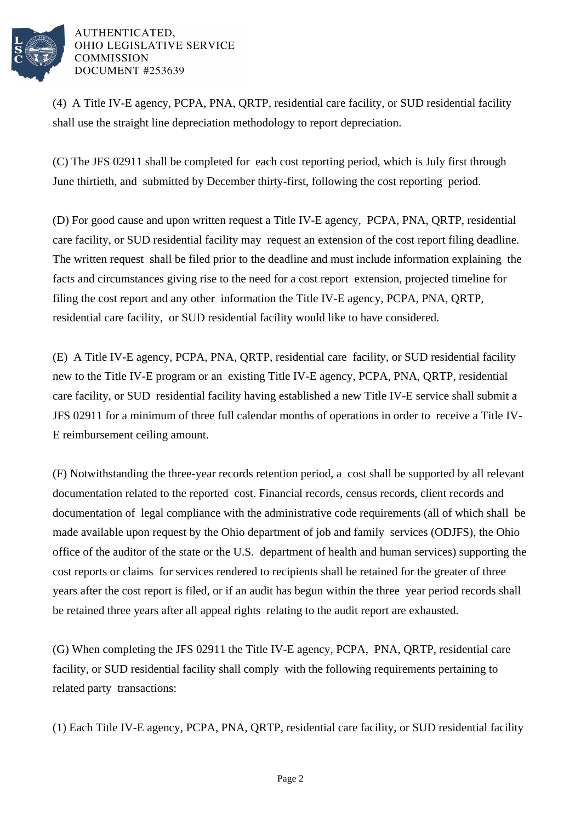

## AUTHENTICATED. OHIO LEGISLATIVE SERVICE **COMMISSION** DOCUMENT #253639

(4) A Title IV-E agency, PCPA, PNA, QRTP, residential care facility, or SUD residential facility shall use the straight line depreciation methodology to report depreciation.

(C) The JFS 02911 shall be completed for each cost reporting period, which is July first through June thirtieth, and submitted by December thirty-first, following the cost reporting period.

(D) For good cause and upon written request a Title IV-E agency, PCPA, PNA, QRTP, residential care facility, or SUD residential facility may request an extension of the cost report filing deadline. The written request shall be filed prior to the deadline and must include information explaining the facts and circumstances giving rise to the need for a cost report extension, projected timeline for filing the cost report and any other information the Title IV-E agency, PCPA, PNA, QRTP, residential care facility, or SUD residential facility would like to have considered.

(E) A Title IV-E agency, PCPA, PNA, QRTP, residential care facility, or SUD residential facility new to the Title IV-E program or an existing Title IV-E agency, PCPA, PNA, QRTP, residential care facility, or SUD residential facility having established a new Title IV-E service shall submit a JFS 02911 for a minimum of three full calendar months of operations in order to receive a Title IV-E reimbursement ceiling amount.

(F) Notwithstanding the three-year records retention period, a cost shall be supported by all relevant documentation related to the reported cost. Financial records, census records, client records and documentation of legal compliance with the administrative code requirements (all of which shall be made available upon request by the Ohio department of job and family services (ODJFS), the Ohio office of the auditor of the state or the U.S. department of health and human services) supporting the cost reports or claims for services rendered to recipients shall be retained for the greater of three years after the cost report is filed, or if an audit has begun within the three year period records shall be retained three years after all appeal rights relating to the audit report are exhausted.

(G) When completing the JFS 02911 the Title IV-E agency, PCPA, PNA, QRTP, residential care facility, or SUD residential facility shall comply with the following requirements pertaining to related party transactions:

(1) Each Title IV-E agency, PCPA, PNA, QRTP, residential care facility, or SUD residential facility